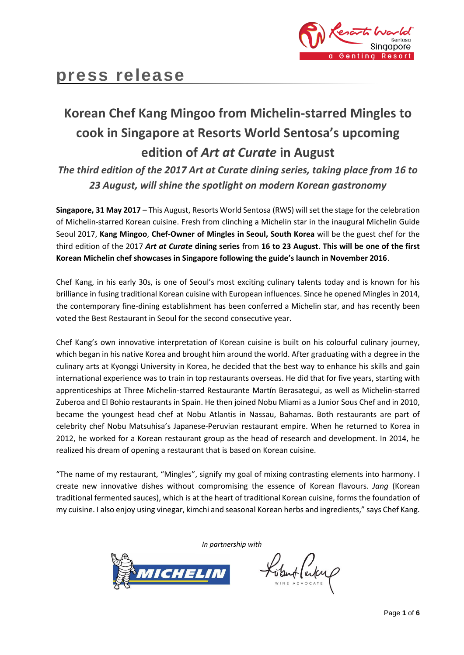

# **Korean Chef Kang Mingoo from Michelin-starred Mingles to cook in Singapore at Resorts World Sentosa's upcoming edition of** *Art at Curate* **in August**

*The third edition of the 2017 Art at Curate dining series, taking place from 16 to 23 August, will shine the spotlight on modern Korean gastronomy*

**Singapore, 31 May 2017** – This August, Resorts World Sentosa (RWS) will set the stage for the celebration of Michelin-starred Korean cuisine. Fresh from clinching a Michelin star in the inaugural Michelin Guide Seoul 2017, **Kang Mingoo**, **Chef-Owner of Mingles in Seoul, South Korea** will be the guest chef for the third edition of the 2017 *Art at Curate* **dining series** from **16 to 23 August**. **This will be one of the first Korean Michelin chef showcases in Singapore following the guide's launch in November 2016**.

Chef Kang, in his early 30s, is one of Seoul's most exciting culinary talents today and is known for his brilliance in fusing traditional Korean cuisine with European influences. Since he opened Mingles in 2014, the contemporary fine-dining establishment has been conferred a Michelin star, and has recently been voted the Best Restaurant in Seoul for the second consecutive year.

Chef Kang's own innovative interpretation of Korean cuisine is built on his colourful culinary journey, which began in his native Korea and brought him around the world. After graduating with a degree in the culinary arts at Kyonggi University in Korea, he decided that the best way to enhance his skills and gain international experience was to train in top restaurants overseas. He did that for five years, starting with apprenticeships at Three Michelin-starred Restaurante Martín Berasategui, as well as Michelin-starred Zuberoa and El Bohio restaurants in Spain. He then joined Nobu Miami as a Junior Sous Chef and in 2010, became the youngest head chef at Nobu Atlantis in Nassau, Bahamas. Both restaurants are part of celebrity chef Nobu Matsuhisa's Japanese-Peruvian restaurant empire. When he returned to Korea in 2012, he worked for a Korean restaurant group as the head of research and development. In 2014, he realized his dream of opening a restaurant that is based on Korean cuisine.

"The name of my restaurant, "Mingles", signify my goal of mixing contrasting elements into harmony. I create new innovative dishes without compromising the essence of Korean flavours. *Jang* (Korean traditional fermented sauces), which is at the heart of traditional Korean cuisine, forms the foundation of my cuisine. I also enjoy using vinegar, kimchi and seasonal Korean herbs and ingredients," says Chef Kang.

*In partnership with*



Kobert (arten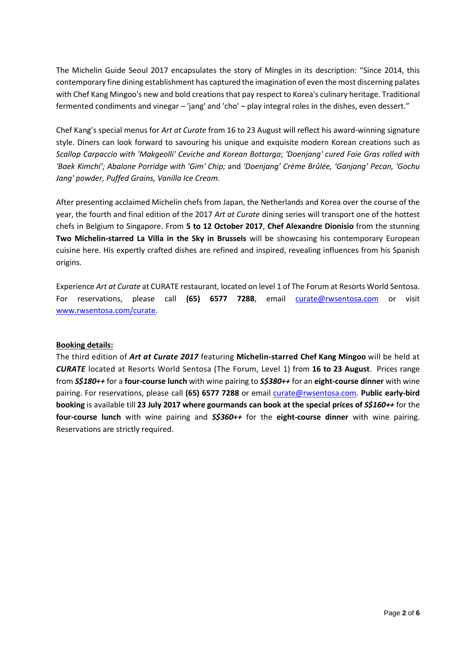The Michelin Guide Seoul 2017 encapsulates the story of Mingles in its description: "Since 2014, this contemporary fine dining establishment has captured the imagination of even the most discerning palates with Chef Kang Mingoo's new and bold creations that pay respect to Korea's culinary heritage. Traditional fermented condiments and vinegar – 'jang' and 'cho' – play integral roles in the dishes, even dessert."

Chef Kang's special menus for *Art at Curate* from 16 to 23 August will reflect his award-winning signature style. Diners can look forward to savouring his unique and exquisite modern Korean creations such as *Scallop Carpaccio with 'Makgeolli' Ceviche and Korean Bottarga*; *'Doenjang' cured Foie Gras rolled with 'Baek Kimchi'; Abalone Porridge with 'Gim' Chip;* and *'Doenjang' Crème Brûlée, 'Ganjang' Pecan, 'Gochu Jang' powder, Puffed Grains, Vanilla Ice Cream.* 

After presenting acclaimed Michelin chefs from Japan, the Netherlands and Korea over the course of the year, the fourth and final edition of the 2017 *Art at Curate* dining series will transport one of the hottest chefs in Belgium to Singapore. From **5 to 12 October 2017**, **Chef Alexandre Dionisio** from the stunning **Two Michelin-starred La Villa in the Sky in Brussels** will be showcasing his contemporary European cuisine here. His expertly crafted dishes are refined and inspired, revealing influences from his Spanish origins.

Experience *Art at Curate* at CURATE restaurant, located on level 1 of The Forum at Resorts World Sentosa. For reservations, please call **(65) 6577 7288**, email [curate@rwsentosa.com](mailto:curate@rwsentosa.com) or visit [www.rwsentosa.com/curate.](http://www.rwsentosa.com/curate)

## **Booking details:**

The third edition of *Art at Curate 2017* featuring **Michelin-starred Chef Kang Mingoo** will be held at *CURATE* located at Resorts World Sentosa (The Forum, Level 1) from **16 to 23 August**. Prices range from *S\$180++* for a **four-course lunch** with wine pairing to *S\$380++* for an **eight-course dinner** with wine pairing. For reservations, please call **(65) 6577 7288** or email [curate@rwsentosa.com.](mailto:curate@rwsentosa.com) **Public early-bird booking** is available till **23 July 2017 where gourmands can book at the special prices of** *S\$160++* for the **four-course lunch** with wine pairing and *S\$360++* for the **eight-course dinner** with wine pairing. Reservations are strictly required.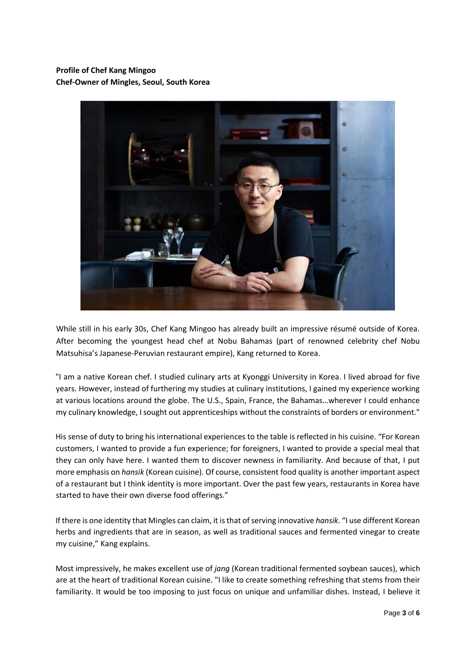# **Profile of Chef Kang Mingoo Chef-Owner of Mingles, Seoul, South Korea**



While still in his early 30s, Chef Kang Mingoo has already built an impressive résumé outside of Korea. After becoming the youngest head chef at Nobu Bahamas (part of renowned celebrity chef Nobu Matsuhisa's Japanese-Peruvian restaurant empire), Kang returned to Korea.

"I am a native Korean chef. I studied culinary arts at Kyonggi University in Korea. I lived abroad for five years. However, instead of furthering my studies at culinary institutions, I gained my experience working at various locations around the globe. The U.S., Spain, France, the Bahamas…wherever I could enhance my culinary knowledge, I sought out apprenticeships without the constraints of borders or environment."

His sense of duty to bring his international experiences to the table is reflected in his cuisine. "For Korean customers, I wanted to provide a fun experience; for foreigners, I wanted to provide a special meal that they can only have here. I wanted them to discover newness in familiarity. And because of that, I put more emphasis on *hansik* (Korean cuisine). Of course, consistent food quality is another important aspect of a restaurant but I think identity is more important. Over the past few years, restaurants in Korea have started to have their own diverse food offerings."

If there is one identity that Mingles can claim, it is that of serving innovative *hansik*. "I use different Korean herbs and ingredients that are in season, as well as traditional sauces and fermented vinegar to create my cuisine," Kang explains.

Most impressively, he makes excellent use of *jang* (Korean traditional fermented soybean sauces), which are at the heart of traditional Korean cuisine. "I like to create something refreshing that stems from their familiarity. It would be too imposing to just focus on unique and unfamiliar dishes. Instead, I believe it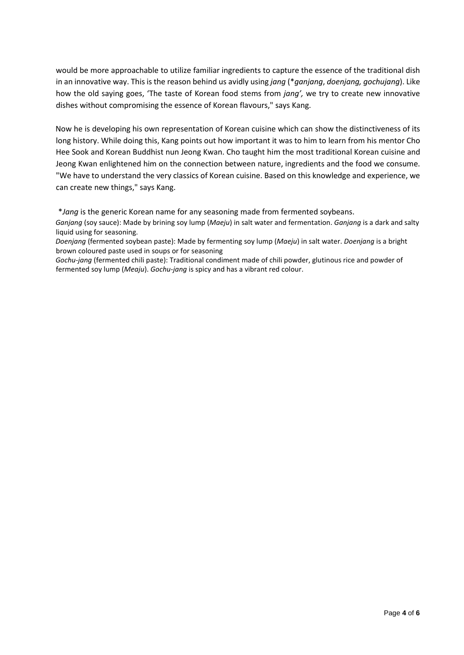would be more approachable to utilize familiar ingredients to capture the essence of the traditional dish in an innovative way. This is the reason behind us avidly using *jang* (\**ganjang*, *doenjang, gochujang*). Like how the old saying goes, 'The taste of Korean food stems from *jang',* we try to create new innovative dishes without compromising the essence of Korean flavours," says Kang.

Now he is developing his own representation of Korean cuisine which can show the distinctiveness of its long history. While doing this, Kang points out how important it was to him to learn from his mentor Cho Hee Sook and Korean Buddhist nun Jeong Kwan. Cho taught him the most traditional Korean cuisine and Jeong Kwan enlightened him on the connection between nature, ingredients and the food we consume. "We have to understand the very classics of Korean cuisine. Based on this knowledge and experience, we can create new things," says Kang.

\**Jang* is the generic Korean name for any seasoning made from fermented soybeans.

*Doenjang* (fermented soybean paste): Made by fermenting soy lump (*Maeju*) in salt water. *Doenjang* is a bright brown coloured paste used in soups or for seasoning

*Gochu-jang* (fermented chili paste): Traditional condiment made of chili powder, glutinous rice and powder of fermented soy lump (*Meaju*). *Gochu-jang* is spicy and has a vibrant red colour.

*Ganjang* (soy sauce): Made by brining soy lump (*Maeju*) in salt water and fermentation. *Ganjang* is a dark and salty liquid using for seasoning.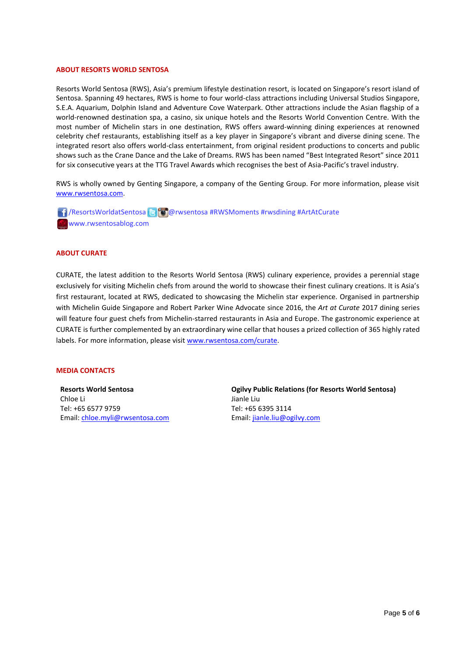#### **ABOUT RESORTS WORLD SENTOSA**

Resorts World Sentosa (RWS), Asia's premium lifestyle destination resort, is located on Singapore's resort island of Sentosa. Spanning 49 hectares, RWS is home to four world-class attractions including Universal Studios Singapore, S.E.A. Aquarium, Dolphin Island and Adventure Cove Waterpark. Other attractions include the Asian flagship of a world-renowned destination spa, a casino, six unique hotels and the Resorts World Convention Centre. With the most number of Michelin stars in one destination, RWS offers award-winning dining experiences at renowned celebrity chef restaurants, establishing itself as a key player in Singapore's vibrant and diverse dining scene. The integrated resort also offers world-class entertainment, from original resident productions to concerts and public shows such as the Crane Dance and the Lake of Dreams. RWS has been named "Best Integrated Resort" since 2011 for six consecutive years at the TTG Travel Awards which recognises the best of Asia-Pacific's travel industry.

RWS is wholly owned by Genting Singapore, a company of the Genting Group. For more information, please visit [www.rwsentosa.com.](http://www.rwsentosa.com/)

**1** / ResortsWorldatSentosa **B** @ wsentosa #RWSMoments #rwsdining #ArtAtCurate www.rwsentosablog.com

#### **ABOUT CURATE**

CURATE, the latest addition to the Resorts World Sentosa (RWS) culinary experience, provides a perennial stage exclusively for visiting Michelin chefs from around the world to showcase their finest culinary creations. It is Asia's first restaurant, located at RWS, dedicated to showcasing the Michelin star experience. Organised in partnership with Michelin Guide Singapore and Robert Parker Wine Advocate since 2016, the *Art at Curate* 2017 dining series will feature four guest chefs from Michelin-starred restaurants in Asia and Europe. The gastronomic experience at CURATE is further complemented by an extraordinary wine cellar that houses a prized collection of 365 highly rated labels. For more information, please visit [www.rwsentosa.com/curate.](http://www.rwsentosa.com/curate)

### **MEDIA CONTACTS**

**Resorts World Sentosa** Chloe Li Tel: +65 6577 9759 Email[: chloe.myli@rwsentosa.com](mailto:chloe.myli@rwsentosa.com)

**Ogilvy Public Relations (for Resorts World Sentosa)**  Jianle Liu Tel: +65 6395 3114 Email: [jianle.liu@ogilvy.com](mailto:jianle.liu@ogilvy.com)